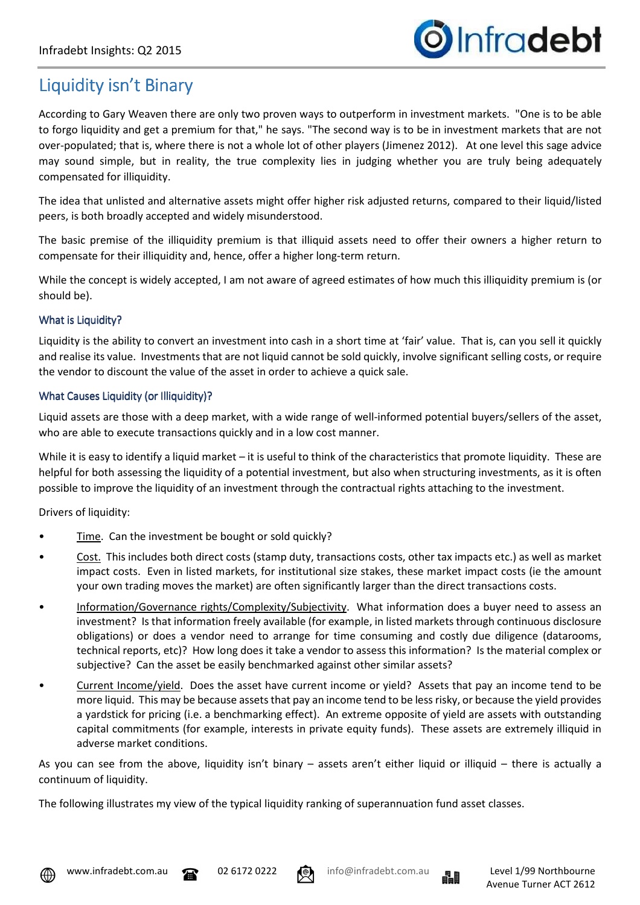

## Liquidity isn't Binary

According to Gary Weaven there are only two proven ways to outperform in investment markets. "One is to be able to forgo liquidity and get a premium for that," he says. "The second way is to be in investment markets that are not over-populated; that is, where there is not a whole lot of other players (Jimenez 2012). At one level this sage advice may sound simple, but in reality, the true complexity lies in judging whether you are truly being adequately compensated for illiquidity.

The idea that unlisted and alternative assets might offer higher risk adjusted returns, compared to their liquid/listed peers, is both broadly accepted and widely misunderstood.

The basic premise of the illiquidity premium is that illiquid assets need to offer their owners a higher return to compensate for their illiquidity and, hence, offer a higher long-term return.

While the concept is widely accepted, I am not aware of agreed estimates of how much this illiquidity premium is (or should be).

## What is Liquidity?

Liquidity is the ability to convert an investment into cash in a short time at 'fair' value. That is, can you sell it quickly and realise its value. Investments that are not liquid cannot be sold quickly, involve significant selling costs, or require the vendor to discount the value of the asset in order to achieve a quick sale.

## What Causes Liquidity (or Illiquidity)?

Liquid assets are those with a deep market, with a wide range of well-informed potential buyers/sellers of the asset, who are able to execute transactions quickly and in a low cost manner.

While it is easy to identify a liquid market – it is useful to think of the characteristics that promote liquidity. These are helpful for both assessing the liquidity of a potential investment, but also when structuring investments, as it is often possible to improve the liquidity of an investment through the contractual rights attaching to the investment.

Drivers of liquidity:

- Time. Can the investment be bought or sold quickly?
- Cost. This includes both direct costs (stamp duty, transactions costs, other tax impacts etc.) as well as market impact costs. Even in listed markets, for institutional size stakes, these market impact costs (ie the amount your own trading moves the market) are often significantly larger than the direct transactions costs.
- Information/Governance rights/Complexity/Subjectivity. What information does a buyer need to assess an investment? Is that information freely available (for example, in listed markets through continuous disclosure obligations) or does a vendor need to arrange for time consuming and costly due diligence (datarooms, technical reports, etc)? How long does it take a vendor to assess this information? Is the material complex or subjective? Can the asset be easily benchmarked against other similar assets?
- Current Income/yield. Does the asset have current income or yield? Assets that pay an income tend to be more liquid. This may be because assets that pay an income tend to be less risky, or because the yield provides a yardstick for pricing (i.e. a benchmarking effect). An extreme opposite of yield are assets with outstanding capital commitments (for example, interests in private equity funds). These assets are extremely illiquid in adverse market conditions.

As you can see from the above, liquidity isn't binary – assets aren't either liquid or illiquid – there is actually a continuum of liquidity.

The following illustrates my view of the typical liquidity ranking of superannuation fund asset classes.